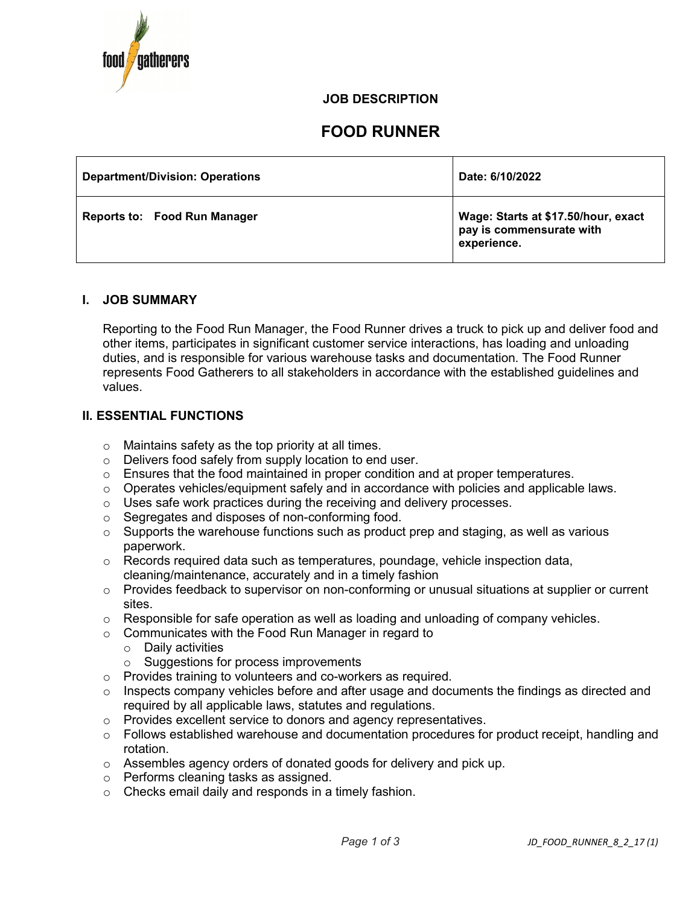

# **JOB DESCRIPTION**

# **FOOD RUNNER**

| <b>Department/Division: Operations</b> | Date: 6/10/2022                                                                |
|----------------------------------------|--------------------------------------------------------------------------------|
| <b>Reports to: Food Run Manager</b>    | Wage: Starts at \$17.50/hour, exact<br>pay is commensurate with<br>experience. |

# **I. JOB SUMMARY**

Reporting to the Food Run Manager, the Food Runner drives a truck to pick up and deliver food and other items, participates in significant customer service interactions, has loading and unloading duties, and is responsible for various warehouse tasks and documentation. The Food Runner represents Food Gatherers to all stakeholders in accordance with the established guidelines and values.

# **II. ESSENTIAL FUNCTIONS**

- $\circ$  Maintains safety as the top priority at all times.
- o Delivers food safely from supply location to end user.
- $\circ$  Ensures that the food maintained in proper condition and at proper temperatures.
- $\circ$  Operates vehicles/equipment safely and in accordance with policies and applicable laws.
- o Uses safe work practices during the receiving and delivery processes.
- o Segregates and disposes of non-conforming food.
- $\circ$  Supports the warehouse functions such as product prep and staging, as well as various paperwork.
- $\circ$  Records required data such as temperatures, poundage, vehicle inspection data, cleaning/maintenance, accurately and in a timely fashion
- $\circ$  Provides feedback to supervisor on non-conforming or unusual situations at supplier or current sites.
- $\circ$  Responsible for safe operation as well as loading and unloading of company vehicles.
- o Communicates with the Food Run Manager in regard to
	- o Daily activities
	- o Suggestions for process improvements
- o Provides training to volunteers and co-workers as required.
- $\circ$  Inspects company vehicles before and after usage and documents the findings as directed and required by all applicable laws, statutes and regulations.
- o Provides excellent service to donors and agency representatives.
- $\circ$  Follows established warehouse and documentation procedures for product receipt, handling and rotation.
- o Assembles agency orders of donated goods for delivery and pick up.
- o Performs cleaning tasks as assigned.
- o Checks email daily and responds in a timely fashion.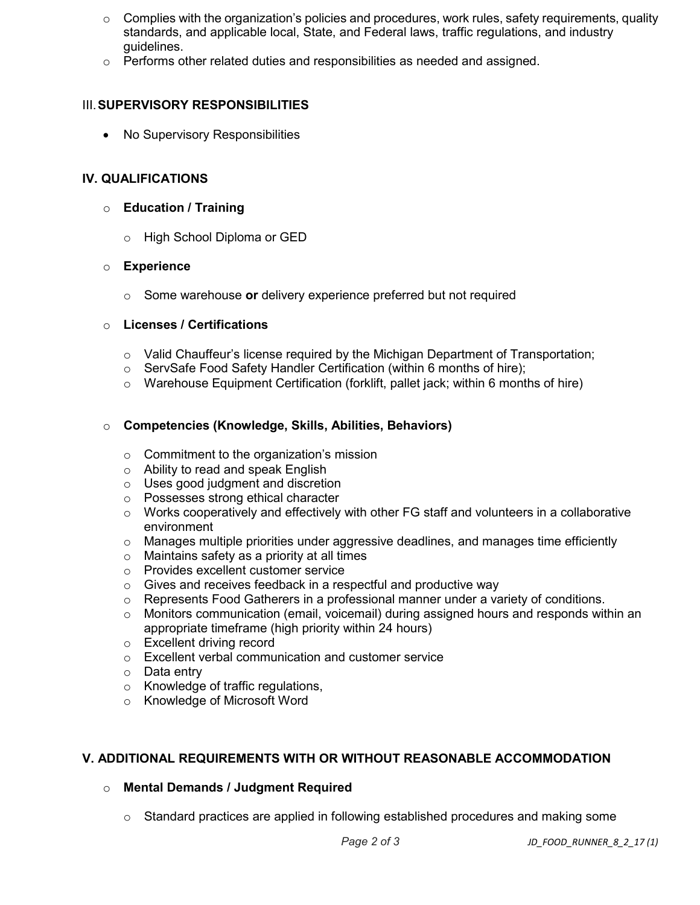- $\circ$  Complies with the organization's policies and procedures, work rules, safety requirements, quality standards, and applicable local, State, and Federal laws, traffic regulations, and industry guidelines.
- $\circ$  Performs other related duties and responsibilities as needed and assigned.

# III.**SUPERVISORY RESPONSIBILITIES**

• No Supervisory Responsibilities

## **IV. QUALIFICATIONS**

#### o **Education / Training**

o High School Diploma or GED

#### o **Experience**

o Some warehouse **or** delivery experience preferred but not required

#### o **Licenses / Certifications**

- $\circ$  Valid Chauffeur's license required by the Michigan Department of Transportation;
- o ServSafe Food Safety Handler Certification (within 6 months of hire);
- $\circ$  Warehouse Equipment Certification (forklift, pallet jack; within 6 months of hire)

#### o **Competencies (Knowledge, Skills, Abilities, Behaviors)**

- $\circ$  Commitment to the organization's mission
- o Ability to read and speak English
- o Uses good judgment and discretion
- o Possesses strong ethical character
- $\circ$  Works cooperatively and effectively with other FG staff and volunteers in a collaborative environment
- $\circ$  Manages multiple priorities under aggressive deadlines, and manages time efficiently
- o Maintains safety as a priority at all times
- o Provides excellent customer service
- $\circ$  Gives and receives feedback in a respectful and productive way
- $\circ$  Represents Food Gatherers in a professional manner under a variety of conditions.
- $\circ$  Monitors communication (email, voicemail) during assigned hours and responds within an appropriate timeframe (high priority within 24 hours)
- o Excellent driving record
- o Excellent verbal communication and customer service
- o Data entry
- o Knowledge of traffic regulations,
- o Knowledge of Microsoft Word

# **V. ADDITIONAL REQUIREMENTS WITH OR WITHOUT REASONABLE ACCOMMODATION**

# o **Mental Demands / Judgment Required**

o Standard practices are applied in following established procedures and making some